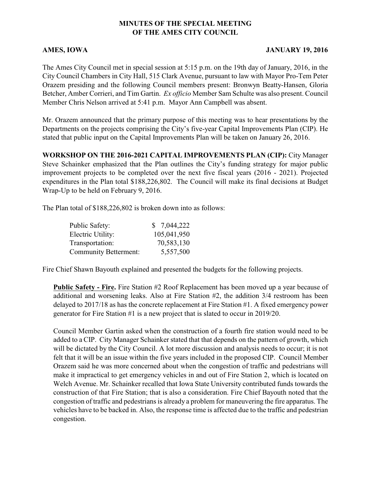## **MINUTES OF THE SPECIAL MEETING OF THE AMES CITY COUNCIL**

## **AMES, IOWA JANUARY 19, 2016**

The Ames City Council met in special session at 5:15 p.m. on the 19th day of January, 2016, in the City Council Chambers in City Hall, 515 Clark Avenue, pursuant to law with Mayor Pro-Tem Peter Orazem presiding and the following Council members present: Bronwyn Beatty-Hansen, Gloria Betcher, Amber Corrieri, and Tim Gartin. *Ex officio* Member Sam Schulte was also present. Council Member Chris Nelson arrived at 5:41 p.m. Mayor Ann Campbell was absent.

Mr. Orazem announced that the primary purpose of this meeting was to hear presentations by the Departments on the projects comprising the City's five-year Capital Improvements Plan (CIP). He stated that public input on the Capital Improvements Plan will be taken on January 26, 2016.

**WORKSHOP ON THE 2016-2021 CAPITAL IMPROVEMENTS PLAN (CIP):** City Manager Steve Schainker emphasized that the Plan outlines the City's funding strategy for major public improvement projects to be completed over the next five fiscal years (2016 - 2021). Projected expenditures in the Plan total \$188,226,802. The Council will make its final decisions at Budget Wrap-Up to be held on February 9, 2016.

The Plan total of \$188,226,802 is broken down into as follows:

| Public Safety:               | \$7,044,222 |
|------------------------------|-------------|
| Electric Utility:            | 105,041,950 |
| Transportation:              | 70,583,130  |
| <b>Community Betterment:</b> | 5,557,500   |

Fire Chief Shawn Bayouth explained and presented the budgets for the following projects.

**Public Safety - Fire.** Fire Station #2 Roof Replacement has been moved up a year because of additional and worsening leaks. Also at Fire Station #2, the addition 3/4 restroom has been delayed to 2017/18 as has the concrete replacement at Fire Station #1. A fixed emergency power generator for Fire Station #1 is a new project that is slated to occur in 2019/20.

Council Member Gartin asked when the construction of a fourth fire station would need to be added to a CIP. City Manager Schainker stated that that depends on the pattern of growth, which will be dictated by the City Council. A lot more discussion and analysis needs to occur; it is not felt that it will be an issue within the five years included in the proposed CIP. Council Member Orazem said he was more concerned about when the congestion of traffic and pedestrians will make it impractical to get emergency vehicles in and out of Fire Station 2, which is located on Welch Avenue. Mr. Schainker recalled that Iowa State University contributed funds towards the construction of that Fire Station; that is also a consideration. Fire Chief Bayouth noted that the congestion of traffic and pedestrians is already a problem for maneuvering the fire apparatus. The vehicles have to be backed in. Also, the response time is affected due to the traffic and pedestrian congestion.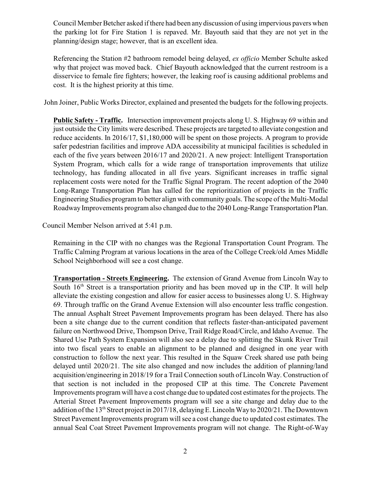Council Member Betcher asked if there had been any discussion of using impervious pavers when the parking lot for Fire Station 1 is repaved. Mr. Bayouth said that they are not yet in the planning/design stage; however, that is an excellent idea.

Referencing the Station #2 bathroom remodel being delayed, *ex officio* Member Schulte asked why that project was moved back. Chief Bayouth acknowledged that the current restroom is a disservice to female fire fighters; however, the leaking roof is causing additional problems and cost. It is the highest priority at this time.

John Joiner, Public Works Director, explained and presented the budgets for the following projects.

**Public Safety - Traffic.** Intersection improvement projects along U. S. Highway 69 within and just outside the City limits were described. These projects are targeted to alleviate congestion and reduce accidents. In 2016/17, \$1,180,000 will be spent on those projects. A program to provide safer pedestrian facilities and improve ADA accessibility at municipal facilities is scheduled in each of the five years between 2016/17 and 2020/21. A new project: Intelligent Transportation System Program, which calls for a wide range of transportation improvements that utilize technology, has funding allocated in all five years. Significant increases in traffic signal replacement costs were noted for the Traffic Signal Program. The recent adoption of the 2040 Long-Range Transportation Plan has called for the reprioritization of projects in the Traffic Engineering Studies program to better align with community goals. The scope of the Multi-Modal Roadway Improvements program also changed due to the 2040 Long-Range Transportation Plan.

Council Member Nelson arrived at 5:41 p.m.

Remaining in the CIP with no changes was the Regional Transportation Count Program. The Traffic Calming Program at various locations in the area of the College Creek/old Ames Middle School Neighborhood will see a cost change.

**Transportation - Streets Engineering.** The extension of Grand Avenue from Lincoln Way to South  $16<sup>th</sup>$  Street is a transportation priority and has been moved up in the CIP. It will help alleviate the existing congestion and allow for easier access to businesses along U. S. Highway 69. Through traffic on the Grand Avenue Extension will also encounter less traffic congestion. The annual Asphalt Street Pavement Improvements program has been delayed. There has also been a site change due to the current condition that reflects faster-than-anticipated pavement failure on Northwood Drive, Thompson Drive, Trail Ridge Road/Circle, and Idaho Avenue. The Shared Use Path System Expansion will also see a delay due to splitting the Skunk River Trail into two fiscal years to enable an alignment to be planned and designed in one year with construction to follow the next year. This resulted in the Squaw Creek shared use path being delayed until 2020/21. The site also changed and now includes the addition of planning/land acquisition/engineering in 2018/19 for a Trail Connection south of Lincoln Way. Construction of that section is not included in the proposed CIP at this time. The Concrete Pavement Improvements program will have a cost change due to updated cost estimates for the projects. The Arterial Street Pavement Improvements program will see a site change and delay due to the addition of the  $13<sup>th</sup>$  Street project in 2017/18, delaying E. Lincoln Way to 2020/21. The Downtown Street Pavement Improvements program will see a cost change due to updated cost estimates. The annual Seal Coat Street Pavement Improvements program will not change. The Right-of-Way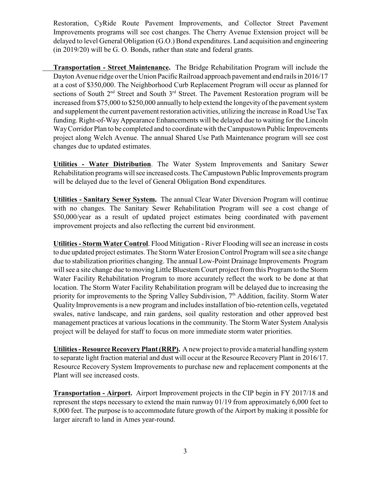Restoration, CyRide Route Pavement Improvements, and Collector Street Pavement Improvements programs will see cost changes. The Cherry Avenue Extension project will be delayed to level General Obligation (G.O.) Bond expenditures. Land acquisition and engineering (in 2019/20) will be G. O. Bonds, rather than state and federal grants.

**Transportation - Street Maintenance.** The Bridge Rehabilitation Program will include the Dayton Avenue ridge over the Union Pacific Railroad approach pavement and end rails in 2016/17 at a cost of \$350,000. The Neighborhood Curb Replacement Program will occur as planned for sections of South  $2<sup>nd</sup>$  Street and South  $3<sup>rd</sup>$  Street. The Pavement Restoration program will be increased from \$75,000 to \$250,000 annually to help extend the longevity of the pavement system and supplement the current pavement restoration activities, utilizing the increase in Road Use Tax funding. Right-of-Way Appearance Enhancements will be delayed due to waiting for the Lincoln Way Corridor Plan to be completed and to coordinate with the Campustown Public Improvements project along Welch Avenue. The annual Shared Use Path Maintenance program will see cost changes due to updated estimates.

**Utilities - Water Distribution**. The Water System Improvements and Sanitary Sewer Rehabilitation programs will see increased costs. The Campustown Public Improvements program will be delayed due to the level of General Obligation Bond expenditures.

**Utilities - Sanitary Sewer System.** The annual Clear Water Diversion Program will continue with no changes. The Sanitary Sewer Rehabilitation Program will see a cost change of \$50,000/year as a result of updated project estimates being coordinated with pavement improvement projects and also reflecting the current bid environment.

**Utilities - Storm Water Control**. Flood Mitigation - River Flooding will see an increase in costs to due updated project estimates. The Storm Water Erosion Control Program will see a site change due to stabilization priorities changing. The annual Low-Point Drainage Improvements Program will see a site change due to moving Little Bluestem Court project from this Program to the Storm Water Facility Rehabilitation Program to more accurately reflect the work to be done at that location. The Storm Water Facility Rehabilitation program will be delayed due to increasing the priority for improvements to the Spring Valley Subdivision,  $7<sup>th</sup>$  Addition, facility. Storm Water Quality Improvements is a new program and includes installation of bio-retention cells, vegetated swales, native landscape, and rain gardens, soil quality restoration and other approved best management practices at various locations in the community. The Storm Water System Analysis project will be delayed for staff to focus on more immediate storm water priorities.

**Utilities - Resource Recovery Plant (RRP).** A new project to provide a material handling system to separate light fraction material and dust will occur at the Resource Recovery Plant in 2016/17. Resource Recovery System Improvements to purchase new and replacement components at the Plant will see increased costs.

**Transportation - Airport.** Airport Improvement projects in the CIP begin in FY 2017/18 and represent the steps necessary to extend the main runway 01/19 from approximately 6,000 feet to 8,000 feet. The purpose is to accommodate future growth of the Airport by making it possible for larger aircraft to land in Ames year-round.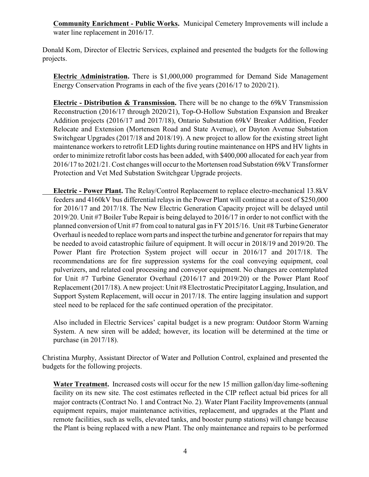**Community Enrichment - Public Works.** Municipal Cemetery Improvements will include a water line replacement in 2016/17.

Donald Kom, Director of Electric Services, explained and presented the budgets for the following projects.

**Electric Administration.** There is \$1,000,000 programmed for Demand Side Management Energy Conservation Programs in each of the five years (2016/17 to 2020/21).

**Electric - Distribution & Transmission.** There will be no change to the 69kV Transmission Reconstruction (2016/17 through 2020/21), Top-O-Hollow Substation Expansion and Breaker Addition projects (2016/17 and 2017/18), Ontario Substation 69kV Breaker Addition, Feeder Relocate and Extension (Mortensen Road and State Avenue), or Dayton Avenue Substation Switchgear Upgrades (2017/18 and 2018/19). A new project to allow for the existing street light maintenance workers to retrofit LED lights during routine maintenance on HPS and HV lights in order to minimize retrofit labor costs has been added, with \$400,000 allocated for each year from 2016/17 to 2021/21. Cost changes will occur to the Mortensen road Substation 69kV Transformer Protection and Vet Med Substation Switchgear Upgrade projects.

**Electric - Power Plant.** The Relay/Control Replacement to replace electro-mechanical 13.8kV feeders and 4160kV bus differential relays in the Power Plant will continue at a cost of \$250,000 for 2016/17 and 2017/18. The New Electric Generation Capacity project will be delayed until 2019/20. Unit #7 Boiler Tube Repair is being delayed to 2016/17 in order to not conflict with the planned conversion of Unit #7 from coal to natural gas in FY 2015/16. Unit #8 Turbine Generator Overhaul is needed to replace worn parts and inspect the turbine and generator for repairs that may be needed to avoid catastrophic failure of equipment. It will occur in 2018/19 and 2019/20. The Power Plant fire Protection System project will occur in 2016/17 and 2017/18. The recommendations are for fire suppression systems for the coal conveying equipment, coal pulverizers, and related coal processing and conveyor equipment. No changes are contemplated for Unit #7 Turbine Generator Overhaul (2016/17 and 2019/20) or the Power Plant Roof Replacement (2017/18). A new project: Unit #8 Electrostatic Precipitator Lagging, Insulation, and Support System Replacement, will occur in 2017/18. The entire lagging insulation and support steel need to be replaced for the safe continued operation of the precipitator.

Also included in Electric Services' capital budget is a new program: Outdoor Storm Warning System. A new siren will be added; however, its location will be determined at the time or purchase (in 2017/18).

Christina Murphy, Assistant Director of Water and Pollution Control, explained and presented the budgets for the following projects.

Water Treatment. Increased costs will occur for the new 15 million gallon/day lime-softening facility on its new site. The cost estimates reflected in the CIP reflect actual bid prices for all major contracts (Contract No. 1 and Contract No. 2). Water Plant Facility Improvements (annual equipment repairs, major maintenance activities, replacement, and upgrades at the Plant and remote facilities, such as wells, elevated tanks, and booster pump stations) will change because the Plant is being replaced with a new Plant. The only maintenance and repairs to be performed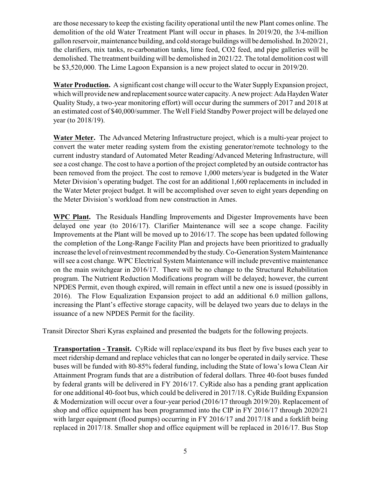are those necessary to keep the existing facility operational until the new Plant comes online. The demolition of the old Water Treatment Plant will occur in phases. In 2019/20, the 3/4-million gallon reservoir, maintenance building, and cold storage buildings will be demolished. In 2020/21, the clarifiers, mix tanks, re-carbonation tanks, lime feed, CO2 feed, and pipe galleries will be demolished. The treatment building will be demolished in 2021/22. The total demolition cost will be \$3,520,000. The Lime Lagoon Expansion is a new project slated to occur in 2019/20.

**Water Production.** A significant cost change will occur to the Water Supply Expansion project, which will provide new and replacement source water capacity. A new project: Ada Hayden Water Quality Study, a two-year monitoring effort) will occur during the summers of 2017 and 2018 at an estimated cost of \$40,000/summer. The Well Field Standby Power project will be delayed one year (to 2018/19).

**Water Meter.** The Advanced Metering Infrastructure project, which is a multi-year project to convert the water meter reading system from the existing generator/remote technology to the current industry standard of Automated Meter Reading/Advanced Metering Infrastructure, will see a cost change. The cost to have a portion of the project completed by an outside contractor has been removed from the project. The cost to remove 1,000 meters/year is budgeted in the Water Meter Division's operating budget. The cost for an additional 1,600 replacements in included in the Water Meter project budget. It will be accomplished over seven to eight years depending on the Meter Division's workload from new construction in Ames.

**WPC Plant.** The Residuals Handling Improvements and Digester Improvements have been delayed one year (to 2016/17). Clarifier Maintenance will see a scope change. Facility Improvements at the Plant will be moved up to 2016/17. The scope has been updated following the completion of the Long-Range Facility Plan and projects have been prioritized to gradually increase the level of reinvestment recommended by the study. Co-Generation System Maintenance will see a cost change. WPC Electrical System Maintenance will include preventive maintenance on the main switchgear in 2016/17. There will be no change to the Structural Rehabilitation program. The Nutrient Reduction Modifications program will be delayed; however, the current NPDES Permit, even though expired, will remain in effect until a new one is issued (possibly in 2016). The Flow Equalization Expansion project to add an additional 6.0 million gallons, increasing the Plant's effective storage capacity, will be delayed two years due to delays in the issuance of a new NPDES Permit for the facility.

Transit Director Sheri Kyras explained and presented the budgets for the following projects.

**Transportation - Transit.** CyRide will replace/expand its bus fleet by five buses each year to meet ridership demand and replace vehicles that can no longer be operated in daily service. These buses will be funded with 80-85% federal funding, including the State of Iowa's Iowa Clean Air Attainment Program funds that are a distribution of federal dollars. Three 40-foot buses funded by federal grants will be delivered in FY 2016/17. CyRide also has a pending grant application for one additional 40-foot bus, which could be delivered in 2017/18. CyRide Building Expansion & Modernization will occur over a four-year period (2016/17 through 2019/20). Replacement of shop and office equipment has been programmed into the CIP in FY 2016/17 through 2020/21 with larger equipment (flood pumps) occurring in FY 2016/17 and 2017/18 and a forklift being replaced in 2017/18. Smaller shop and office equipment will be replaced in 2016/17. Bus Stop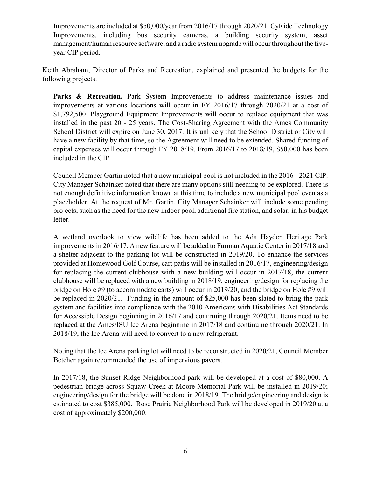Improvements are included at \$50,000/year from 2016/17 through 2020/21. CyRide Technology Improvements, including bus security cameras, a building security system, asset management/human resource software, and a radio system upgrade will occur throughout the fiveyear CIP period.

Keith Abraham, Director of Parks and Recreation, explained and presented the budgets for the following projects.

Parks & Recreation. Park System Improvements to address maintenance issues and improvements at various locations will occur in FY 2016/17 through 2020/21 at a cost of \$1,792,500. Playground Equipment Improvements will occur to replace equipment that was installed in the past 20 - 25 years. The Cost-Sharing Agreement with the Ames Community School District will expire on June 30, 2017. It is unlikely that the School District or City will have a new facility by that time, so the Agreement will need to be extended. Shared funding of capital expenses will occur through FY 2018/19. From 2016/17 to 2018/19, \$50,000 has been included in the CIP.

Council Member Gartin noted that a new municipal pool is not included in the 2016 - 2021 CIP. City Manager Schainker noted that there are many options still needing to be explored. There is not enough definitive information known at this time to include a new municipal pool even as a placeholder. At the request of Mr. Gartin, City Manager Schainker will include some pending projects, such as the need for the new indoor pool, additional fire station, and solar, in his budget letter.

A wetland overlook to view wildlife has been added to the Ada Hayden Heritage Park improvements in 2016/17. A new feature will be added to Furman Aquatic Center in 2017/18 and a shelter adjacent to the parking lot will be constructed in 2019/20. To enhance the services provided at Homewood Golf Course, cart paths will be installed in 2016/17, engineering/design for replacing the current clubhouse with a new building will occur in 2017/18, the current clubhouse will be replaced with a new building in 2018/19, engineering/design for replacing the bridge on Hole #9 (to accommodate carts) will occur in 2019/20, and the bridge on Hole #9 will be replaced in 2020/21. Funding in the amount of \$25,000 has been slated to bring the park system and facilities into compliance with the 2010 Americans with Disabilities Act Standards for Accessible Design beginning in 2016/17 and continuing through 2020/21. Items need to be replaced at the Ames/ISU Ice Arena beginning in 2017/18 and continuing through 2020/21. In 2018/19, the Ice Arena will need to convert to a new refrigerant.

Noting that the Ice Arena parking lot will need to be reconstructed in 2020/21, Council Member Betcher again recommended the use of impervious pavers.

In 2017/18, the Sunset Ridge Neighborhood park will be developed at a cost of \$80,000. A pedestrian bridge across Squaw Creek at Moore Memorial Park will be installed in 2019/20; engineering/design for the bridge will be done in 2018/19. The bridge/engineering and design is estimated to cost \$385,000. Rose Prairie Neighborhood Park will be developed in 2019/20 at a cost of approximately \$200,000.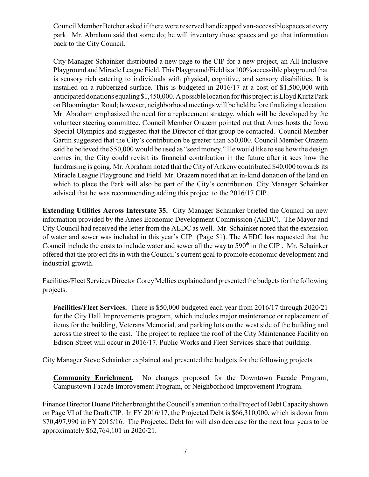Council Member Betcher asked if there were reserved handicapped van-accessible spaces at every park. Mr. Abraham said that some do; he will inventory those spaces and get that information back to the City Council.

City Manager Schainker distributed a new page to the CIP for a new project, an All-Inclusive Playground and Miracle League Field. This Playground/Field is a 100% accessible playground that is sensory rich catering to individuals with physical, cognitive, and sensory disabilities. It is installed on a rubberized surface. This is budgeted in 2016/17 at a cost of \$1,500,000 with anticipated donations equaling \$1,450,000. A possible location for this project is Lloyd Kurtz Park on Bloomington Road; however, neighborhood meetings will be held before finalizing a location. Mr. Abraham emphasized the need for a replacement strategy, which will be developed by the volunteer steering committee. Council Member Orazem pointed out that Ames hosts the Iowa Special Olympics and suggested that the Director of that group be contacted. Council Member Gartin suggested that the City's contribution be greater than \$50,000. Council Member Orazem said he believed the \$50,000 would be used as "seed money." He would like to see how the design comes in; the City could revisit its financial contribution in the future after it sees how the fundraising is going. Mr. Abraham noted that the City of Ankeny contributed \$40,000 towards its Miracle League Playground and Field. Mr. Orazem noted that an in-kind donation of the land on which to place the Park will also be part of the City's contribution. City Manager Schainker advised that he was recommending adding this project to the 2016/17 CIP.

**Extending Utilities Across Interstate 35.** City Manager Schainker briefed the Council on new information provided by the Ames Economic Development Commission (AEDC). The Mayor and City Council had received the letter from the AEDC as well. Mr. Schainker noted that the extension of water and sewer was included in this year's CIP (Page 51). The AEDC has requested that the Council include the costs to include water and sewer all the way to  $590<sup>th</sup>$  in the CIP. Mr. Schainker offered that the project fits in with the Council's current goal to promote economic development and industrial growth.

Facilities/Fleet Services Director Corey Mellies explained and presented the budgets for the following projects.

**Facilities/Fleet Services.** There is \$50,000 budgeted each year from 2016/17 through 2020/21 for the City Hall Improvements program, which includes major maintenance or replacement of items for the building, Veterans Memorial, and parking lots on the west side of the building and across the street to the east. The project to replace the roof of the City Maintenance Facility on Edison Street will occur in 2016/17. Public Works and Fleet Services share that building.

City Manager Steve Schainker explained and presented the budgets for the following projects.

**Community Enrichment.** No changes proposed for the Downtown Facade Program, Campustown Facade Improvement Program, or Neighborhood Improvement Program.

Finance Director Duane Pitcher brought the Council's attention to the Project of Debt Capacity shown on Page VI of the Draft CIP. In FY 2016/17, the Projected Debt is \$66,310,000, which is down from \$70,497,990 in FY 2015/16. The Projected Debt for will also decrease for the next four years to be approximately \$62,764,101 in 2020/21.